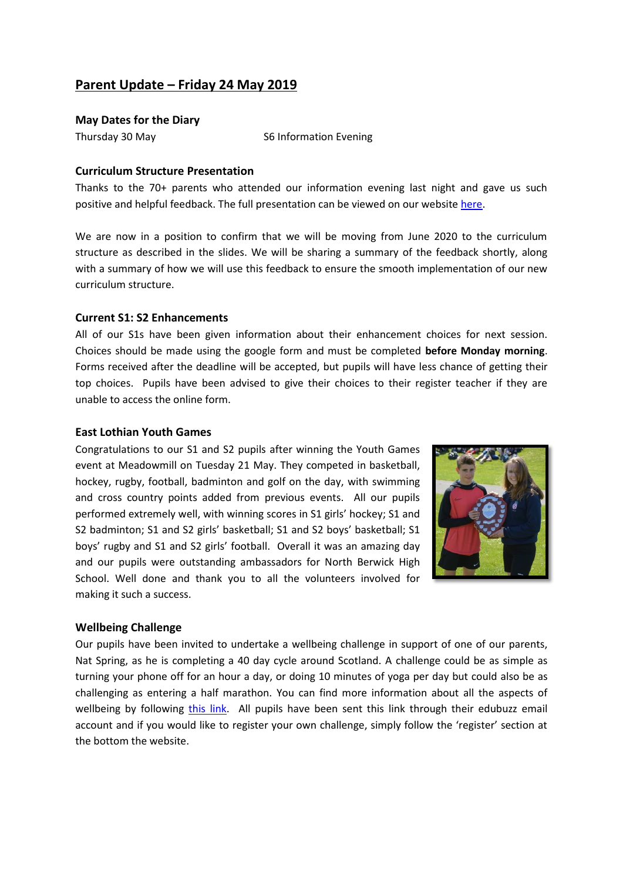# **Parent Update – Friday 24 May 2019**

#### **May Dates for the Diary**

Thursday 30 May S6 Information Evening

### **Curriculum Structure Presentation**

Thanks to the 70+ parents who attended our information evening last night and gave us such positive and helpful feedback. The full presentation can be viewed on our website [here.](https://www.edubuzz.org/northberwickhigh/2019/05/24/curriculum-structure-presentation/)

We are now in a position to confirm that we will be moving from June 2020 to the curriculum structure as described in the slides. We will be sharing a summary of the feedback shortly, along with a summary of how we will use this feedback to ensure the smooth implementation of our new curriculum structure.

### **Current S1: S2 Enhancements**

All of our S1s have been given information about their enhancement choices for next session. Choices should be made using the google form and must be completed **before Monday morning**. Forms received after the deadline will be accepted, but pupils will have less chance of getting their top choices. Pupils have been advised to give their choices to their register teacher if they are unable to access the online form.

### **East Lothian Youth Games**

Congratulations to our S1 and S2 pupils after winning the Youth Games event at Meadowmill on Tuesday 21 May. They competed in basketball, hockey, rugby, football, badminton and golf on the day, with swimming and cross country points added from previous events. All our pupils performed extremely well, with winning scores in S1 girls' hockey; S1 and S2 badminton; S1 and S2 girls' basketball; S1 and S2 boys' basketball; S1 boys' rugby and S1 and S2 girls' football. Overall it was an amazing day and our pupils were outstanding ambassadors for North Berwick High School. Well done and thank you to all the volunteers involved for making it such a success.



#### **Wellbeing Challenge**

Our pupils have been invited to undertake a wellbeing challenge in support of one of our parents, Nat Spring, as he is completing a 40 day cycle around Scotland. A challenge could be as simple as turning your phone off for an hour a day, or doing 10 minutes of yoga per day but could also be as challenging as entering a half marathon. You can find more information about all the aspects of wellbeing by following [this link.](https://www.40days.org.uk/) All pupils have been sent this link through their edubuzz email account and if you would like to register your own challenge, simply follow the 'register' section at the bottom the website.